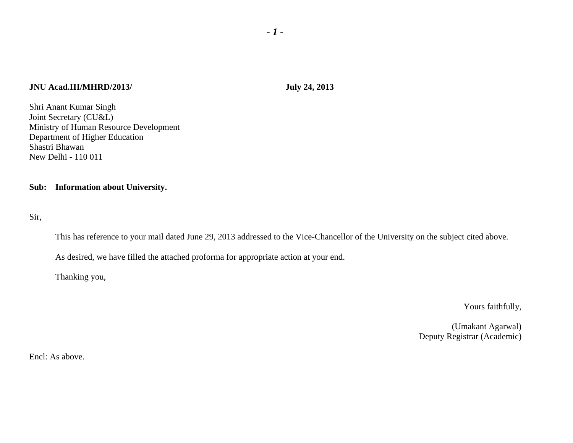## **JNU Acad.III/MHRD/2013/ July 24, 2013**

Shri Anant Kumar Singh Joint Secretary (CU&L) Ministry of Human Resource Development Department of Higher Education Shastri Bhawan New Delhi - 110 011

## **Sub: Information about University.**

Sir,

This has reference to your mail dated June 29, 2013 addressed to the Vice-Chancellor of the University on the subject cited above.

As desired, we have filled the attached proforma for appropriate action at your end.

Thanking you,

Yours faithfully,

 (Umakant Agarwal) Deputy Registrar (Academic)

Encl: As above.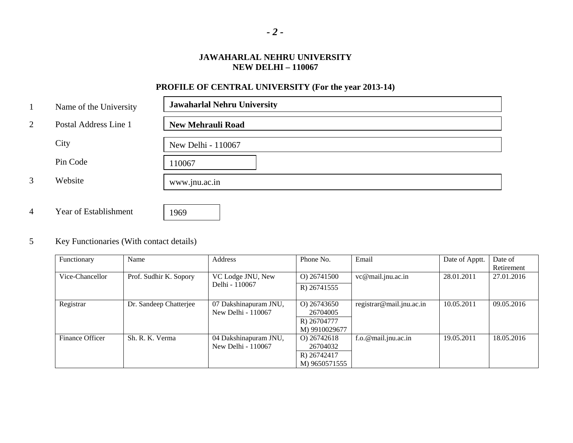## **JAWAHARLAL NEHRU UNIVERSITY NEW DELHI – 110067**

# **PROFILE OF CENTRAL UNIVERSITY (For the year 2013-14)**

| $\mathbf{1}$   | Name of the University | <b>Jawaharlal Nehru University</b> |
|----------------|------------------------|------------------------------------|
| 2              | Postal Address Line 1  | <b>New Mehrauli Road</b>           |
|                | City                   | New Delhi - 110067                 |
|                | Pin Code               | 110067                             |
| 3              | Website                | www.jnu.ac.in                      |
|                |                        |                                    |
| $\overline{4}$ | Year of Establishment  | 1969                               |

## 5 Key Functionaries (With contact details)

| Functionary     | Name                   | Address                                     | Phone No.                              | Email                    | Date of Apptt. | Date of    |
|-----------------|------------------------|---------------------------------------------|----------------------------------------|--------------------------|----------------|------------|
|                 |                        |                                             |                                        |                          |                | Retirement |
| Vice-Chancellor | Prof. Sudhir K. Sopory | VC Lodge JNU, New                           | O) 26741500                            | vc@mail.jnu.ac.in        | 28.01.2011     | 27.01.2016 |
|                 |                        | Delhi - 110067                              | R) 26741555                            |                          |                |            |
| Registrar       | Dr. Sandeep Chatterjee | 07 Dakshinapuram JNU,<br>New Delhi - 110067 | O) 26743650<br>26704005<br>R) 26704777 | registrar@mail.jnu.ac.in | 10.05.2011     | 09.05.2016 |
|                 |                        |                                             | M) 9910029677                          |                          |                |            |
| Finance Officer | Sh. R. K. Verma        | 04 Dakshinapuram JNU,<br>New Delhi - 110067 | O) 26742618<br>26704032<br>R) 26742417 | $f.o. @ mail.$ jnu.ac.in | 19.05.2011     | 18.05.2016 |
|                 |                        |                                             | M) 9650571555                          |                          |                |            |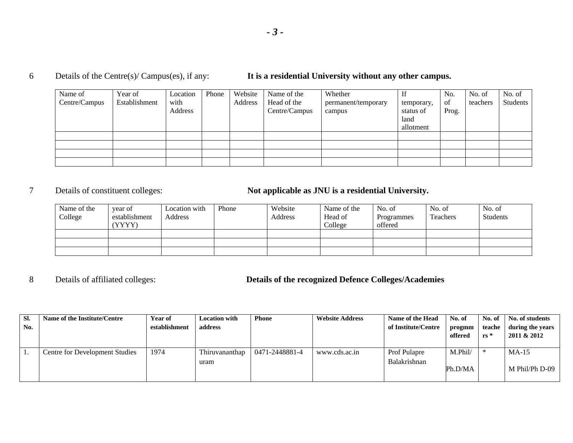## 6 Details of the Centre(s)/ Campus(es), if any: **It is a residential University without any other campus.**

| Name of<br>Centre/Campus | Year of<br>Establishment | Location<br>with<br>Address | Phone | Website<br>Address | Name of the<br>Head of the<br>Centre/Campus | Whether<br>permanent/temporary<br>campus | If<br>temporary,<br>status of<br>land<br>allotment | No.<br>of<br>Prog. | No. of<br>teachers | No. of<br>Students |
|--------------------------|--------------------------|-----------------------------|-------|--------------------|---------------------------------------------|------------------------------------------|----------------------------------------------------|--------------------|--------------------|--------------------|
|                          |                          |                             |       |                    |                                             |                                          |                                                    |                    |                    |                    |
|                          |                          |                             |       |                    |                                             |                                          |                                                    |                    |                    |                    |
|                          |                          |                             |       |                    |                                             |                                          |                                                    |                    |                    |                    |
|                          |                          |                             |       |                    |                                             |                                          |                                                    |                    |                    |                    |

## 7 Details of constituent colleges: **Not applicable as JNU is a residential University.**

| Name of the<br>College | year of<br>establishment<br>(YYYY) | Location with<br>Address | Phone | Website<br>Address | Name of the<br>Head of<br>College | No. of<br>Programmes<br>offered | No. of<br>Teachers | No. of<br><b>Students</b> |
|------------------------|------------------------------------|--------------------------|-------|--------------------|-----------------------------------|---------------------------------|--------------------|---------------------------|
|                        |                                    |                          |       |                    |                                   |                                 |                    |                           |
|                        |                                    |                          |       |                    |                                   |                                 |                    |                           |
|                        |                                    |                          |       |                    |                                   |                                 |                    |                           |

8

# Details of affiliated colleges: **Details of the recognized Defence Colleges/Academies**

| SI.<br>No. | Name of the Institute/Centre   | <b>Year of</b><br>establishment | <b>Location with</b><br>address | <b>Phone</b>   | <b>Website Address</b> | Name of the Head<br>of Institute/Centre    | No. of<br>progmm<br>offered | No. of<br>teache<br>$rs^*$ | No. of students<br>during the years<br>2011 & 2012 |
|------------|--------------------------------|---------------------------------|---------------------------------|----------------|------------------------|--------------------------------------------|-----------------------------|----------------------------|----------------------------------------------------|
|            | Centre for Development Studies | 1974                            | Thiruvananthap<br>uram          | 0471-2448881-4 | www.cds.ac.in          | <b>Prof Pulapre</b><br><b>Balakrishnan</b> | M.Phi1/<br>Ph.D/MA          |                            | $MA-15$<br>M Phil/Ph D-09                          |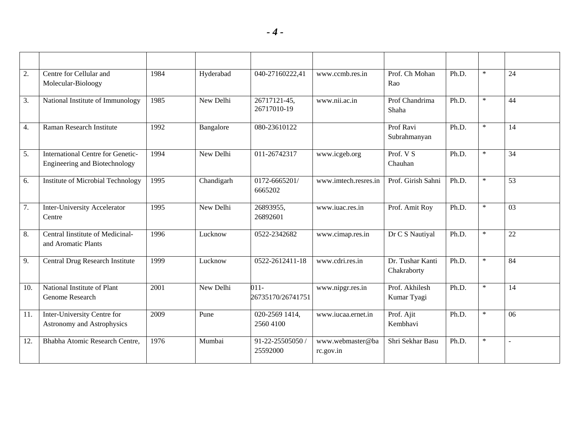| 2.  | Centre for Cellular and<br>Molecular-Bioloogy                             | 1984 | Hyderabad  | 040-27160222,41              | www.ccmb.res.in               | Prof. Ch Mohan<br>Rao           | Ph.D. | $\ast$ | 24              |
|-----|---------------------------------------------------------------------------|------|------------|------------------------------|-------------------------------|---------------------------------|-------|--------|-----------------|
| 3.  | National Institute of Immunology                                          | 1985 | New Delhi  | 26717121-45,<br>26717010-19  | www.nii.ac.in                 | Prof Chandrima<br>Shaha         | Ph.D. | $\ast$ | 44              |
| 4.  | Raman Research Institute                                                  | 1992 | Bangalore  | 080-23610122                 |                               | Prof Ravi<br>Subrahmanyan       | Ph.D. | $\ast$ | 14              |
| 5.  | <b>International Centre for Genetic-</b><br>Engineering and Biotechnology | 1994 | New Delhi  | 011-26742317                 | www.icgeb.org                 | Prof. $V S$<br>Chauhan          | Ph.D. | $\ast$ | 34              |
| 6.  | Institute of Microbial Technology                                         | 1995 | Chandigarh | 0172-6665201/<br>6665202     | www.imtech.resres.in          | Prof. Girish Sahni              | Ph.D. | $\ast$ | $\overline{53}$ |
| 7.  | Inter-University Accelerator<br>Centre                                    | 1995 | New Delhi  | 26893955,<br>26892601        | www.iuac.res.in               | Prof. Amit Roy                  | Ph.D. | $\ast$ | 03              |
| 8.  | Central Iinstitute of Medicinal-<br>and Aromatic Plants                   | 1996 | Lucknow    | 0522-2342682                 | www.cimap.res.in              | Dr C S Nautiyal                 | Ph.D. | $\ast$ | 22              |
| 9.  | Central Drug Research Institute                                           | 1999 | Lucknow    | 0522-2612411-18              | www.cdri.res.in               | Dr. Tushar Kanti<br>Chakraborty | Ph.D. | $\ast$ | 84              |
| 10. | National Institute of Plant<br>Genome Research                            | 2001 | New Delhi  | $011 -$<br>26735170/26741751 | www.nipgr.res.in              | Prof. Akhilesh<br>Kumar Tyagi   | Ph.D. | $\ast$ | 14              |
| 11. | Inter-University Centre for<br>Astronomy and Astrophysics                 | 2009 | Pune       | 020-2569 1414,<br>2560 4100  | www.iucaa.ernet.in            | Prof. Ajit<br>Kembhavi          | Ph.D. | $\ast$ | 06              |
| 12. | Bhabha Atomic Research Centre,                                            | 1976 | Mumbai     | 91-22-25505050 /<br>25592000 | www.webmaster@ba<br>rc.gov.in | Shri Sekhar Basu                | Ph.D. | $\ast$ | L,              |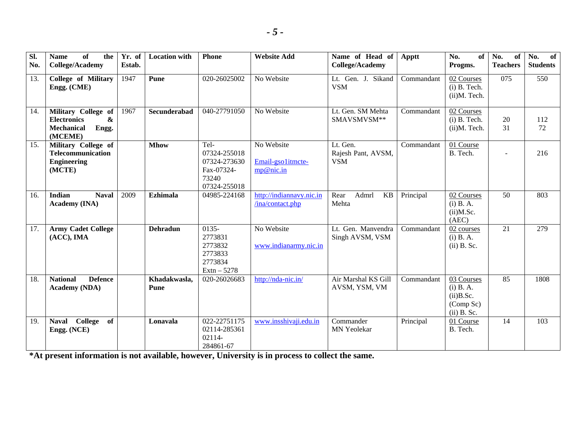| $\overline{sl}$ .<br>No. | <b>Name</b><br>of<br>the<br><b>College/Academy</b>                                                 | Yr. of<br>Estab. | <b>Location with</b>        | <b>Phone</b>                                                                | <b>Website Add</b>                           | Name of Head of<br>Apptt<br><b>College/Academy</b> |            | No.<br>of<br>Progms.                                                    | No.<br>of<br><b>Teachers</b> | No.<br>of<br><b>Students</b> |
|--------------------------|----------------------------------------------------------------------------------------------------|------------------|-----------------------------|-----------------------------------------------------------------------------|----------------------------------------------|----------------------------------------------------|------------|-------------------------------------------------------------------------|------------------------------|------------------------------|
| 13.                      | <b>College of Military</b><br>Engg. (CME)                                                          | 1947             | Pune                        | 020-26025002                                                                | No Website                                   | Lt. Gen. J.<br>Sikand<br><b>VSM</b>                | Commandant | 02 Courses<br>$(i)$ B. Tech.<br>(ii)M. Tech.                            | 075                          | 550                          |
| 14.                      | Military College of<br><b>Electronics</b><br>$\mathbf{x}$<br><b>Mechanical</b><br>Engg.<br>(MCEME) | 1967             | Secunderabad                | 040-27791050                                                                | No Website                                   | Lt. Gen. SM Mehta<br>SMAVSMVSM**                   | Commandant | 02 Courses<br>$(i)$ B. Tech.<br>(ii)M. Tech.                            | 20<br>31                     | 112<br>72                    |
| 15.                      | Military College of<br>Telecommunication<br><b>Engineering</b><br>(MCTE)                           |                  | <b>Mhow</b>                 | Tel-<br>07324-255018<br>07324-273630<br>Fax-07324-<br>73240<br>07324-255018 | No Website<br>Email-gsolitmcte-<br>mp@nic.in | Lt. Gen.<br>Rajesh Pant, AVSM,<br><b>VSM</b>       | Commandant | 01 Course<br>B. Tech.                                                   | $\sim$                       | 216                          |
| 16.                      | <b>Naval</b><br><b>Indian</b><br>Academy (INA)                                                     | 2009             | <b>Ezhimala</b>             | 04985-224168                                                                | http://indiannavy.nic.in<br>/ina/contact.php | Admrl<br>Rear<br>KB<br>Mehta                       | Principal  | 02 Courses<br>$(i)$ B. A.<br>$(ii)$ M.Sc.<br>(AEC)                      | 50                           | 803                          |
| 17.                      | <b>Army Cadet College</b><br>$(ACC)$ , IMA                                                         |                  | <b>Dehradun</b>             | $0135 -$<br>2773831<br>2773832<br>2773833<br>2773834<br>$Extn - 5278$       | No Website<br>www.indianarmy.nic.in          | Lt. Gen. Manvendra<br>Singh AVSM, VSM              | Commandant | 02 courses<br>$(i)$ B. A.<br>$(ii)$ B. Sc.                              | 21                           | 279                          |
| 18.                      | <b>Defence</b><br><b>National</b><br><b>Academy</b> (NDA)                                          |                  | Khadakwasla,<br><b>Pune</b> | 020-26026683                                                                | http://nda-nic.in/                           | Air Marshal KS Gill<br>AVSM, YSM, VM               | Commandant | 03 Courses<br>$(i)$ B. A.<br>$(ii)$ B.Sc.<br>(Comp Sc)<br>$(ii)$ B. Sc. | 85                           | 1808                         |
| 19.                      | College<br>of<br><b>Naval</b><br>Engg. (NCE)                                                       |                  | Lonavala                    | 022-22751175<br>02114-285361<br>02114-<br>284861-67                         | www.insshivaji.edu.in                        | Commander<br>MN Yeolekar                           | Principal  | 01 Course<br>B. Tech.                                                   | 14                           | 103                          |

**\*At present information is not available, however, University is in process to collect the same.**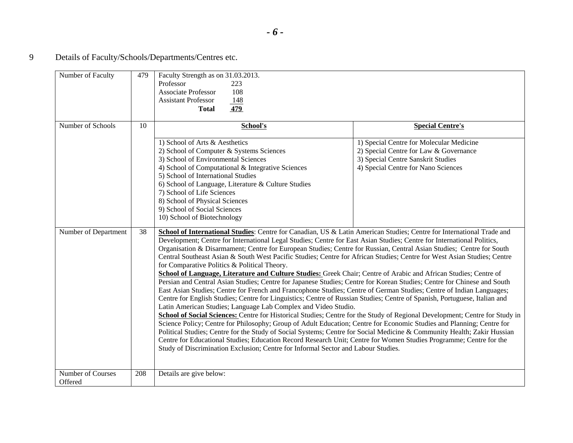9 Details of Faculty/Schools/Departments/Centres etc.

| Number of Faculty            | 479 | Faculty Strength as on 31.03.2013.<br>Professor<br>223<br><b>Associate Professor</b><br>108<br><b>Assistant Professor</b><br>148<br>479<br><b>Total</b>                                                                                                                                                                                                                                                                                                                                                                                                                                                                                                                                                                                                                                                                                                                                                                                                                                                                                                                                                                                                                                                                                                                                                                                                                                                                                                                                                                                                                                                                                                                                                                |                                                                                                                                                                 |
|------------------------------|-----|------------------------------------------------------------------------------------------------------------------------------------------------------------------------------------------------------------------------------------------------------------------------------------------------------------------------------------------------------------------------------------------------------------------------------------------------------------------------------------------------------------------------------------------------------------------------------------------------------------------------------------------------------------------------------------------------------------------------------------------------------------------------------------------------------------------------------------------------------------------------------------------------------------------------------------------------------------------------------------------------------------------------------------------------------------------------------------------------------------------------------------------------------------------------------------------------------------------------------------------------------------------------------------------------------------------------------------------------------------------------------------------------------------------------------------------------------------------------------------------------------------------------------------------------------------------------------------------------------------------------------------------------------------------------------------------------------------------------|-----------------------------------------------------------------------------------------------------------------------------------------------------------------|
| Number of Schools            | 10  | School's                                                                                                                                                                                                                                                                                                                                                                                                                                                                                                                                                                                                                                                                                                                                                                                                                                                                                                                                                                                                                                                                                                                                                                                                                                                                                                                                                                                                                                                                                                                                                                                                                                                                                                               | <b>Special Centre's</b>                                                                                                                                         |
|                              |     | 1) School of Arts & Aesthetics<br>2) School of Computer & Systems Sciences<br>3) School of Environmental Sciences<br>4) School of Computational & Integrative Sciences<br>5) School of International Studies<br>6) School of Language, Literature & Culture Studies<br>7) School of Life Sciences<br>8) School of Physical Sciences<br>9) School of Social Sciences<br>10) School of Biotechnology                                                                                                                                                                                                                                                                                                                                                                                                                                                                                                                                                                                                                                                                                                                                                                                                                                                                                                                                                                                                                                                                                                                                                                                                                                                                                                                     | 1) Special Centre for Molecular Medicine<br>2) Special Centre for Law & Governance<br>3) Special Centre Sanskrit Studies<br>4) Special Centre for Nano Sciences |
| Number of Department         | 38  | School of International Studies: Centre for Canadian, US & Latin American Studies; Centre for International Trade and<br>Development; Centre for International Legal Studies; Centre for East Asian Studies; Centre for International Politics,<br>Organisation & Disarmament; Centre for European Studies; Centre for Russian, Central Asian Studies; Centre for South<br>Central Southeast Asian & South West Pacific Studies; Centre for African Studies; Centre for West Asian Studies; Centre<br>for Comparative Politics & Political Theory.<br>School of Language, Literature and Culture Studies: Greek Chair; Centre of Arabic and African Studies; Centre of<br>Persian and Central Asian Studies; Centre for Japanese Studies; Centre for Korean Studies; Centre for Chinese and South<br>East Asian Studies; Centre for French and Francophone Studies; Centre of German Studies; Centre of Indian Languages;<br>Centre for English Studies; Centre for Linguistics; Centre of Russian Studies; Centre of Spanish, Portuguese, Italian and<br>Latin American Studies; Language Lab Complex and Video Studio.<br>School of Social Sciences: Centre for Historical Studies; Centre for the Study of Regional Development; Centre for Study in<br>Science Policy; Centre for Philosophy; Group of Adult Education; Centre for Economic Studies and Planning; Centre for<br>Political Studies; Centre for the Study of Social Systems; Centre for Social Medicine & Community Health; Zakir Hussian<br>Centre for Educational Studies; Education Record Research Unit; Centre for Women Studies Programme; Centre for the<br>Study of Discrimination Exclusion; Centre for Informal Sector and Labour Studies. |                                                                                                                                                                 |
| Number of Courses<br>Offered | 208 | Details are give below:                                                                                                                                                                                                                                                                                                                                                                                                                                                                                                                                                                                                                                                                                                                                                                                                                                                                                                                                                                                                                                                                                                                                                                                                                                                                                                                                                                                                                                                                                                                                                                                                                                                                                                |                                                                                                                                                                 |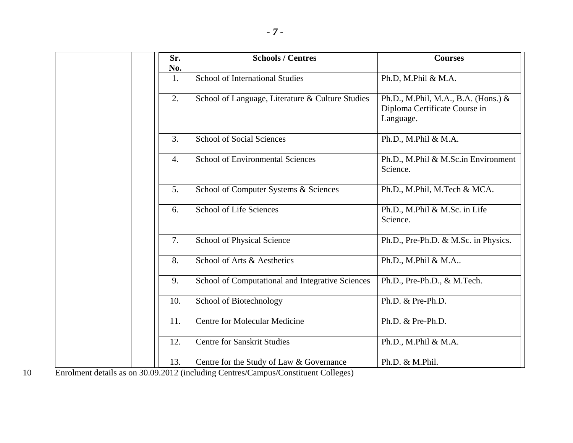|                                        | Sr.              | <b>Schools / Centres</b>                                                                                          | <b>Courses</b>                                                                    |
|----------------------------------------|------------------|-------------------------------------------------------------------------------------------------------------------|-----------------------------------------------------------------------------------|
|                                        | No.<br>1.        | <b>School of International Studies</b>                                                                            | Ph.D, M.Phil & M.A.                                                               |
|                                        | 2.               | School of Language, Literature & Culture Studies                                                                  | Ph.D., M.Phil, M.A., B.A. (Hons.) &<br>Diploma Certificate Course in<br>Language. |
|                                        | 3.               | <b>School of Social Sciences</b>                                                                                  | Ph.D., M.Phil & M.A.                                                              |
|                                        | $\overline{4}$ . | <b>School of Environmental Sciences</b>                                                                           | Ph.D., M.Phil & M.Sc.in Environment<br>Science.                                   |
|                                        | 5.               | School of Computer Systems & Sciences                                                                             | Ph.D., M.Phil, M.Tech & MCA.                                                      |
|                                        | 6.               | <b>School of Life Sciences</b>                                                                                    | Ph.D., M.Phil & M.Sc. in Life<br>Science.                                         |
|                                        | 7.               | School of Physical Science                                                                                        | Ph.D., Pre-Ph.D. & M.Sc. in Physics.                                              |
|                                        | 8.               | School of Arts & Aesthetics                                                                                       | Ph.D., M.Phil & M.A                                                               |
|                                        | 9.               | School of Computational and Integrative Sciences                                                                  | Ph.D., Pre-Ph.D., & M.Tech.                                                       |
|                                        | 10.              | School of Biotechnology                                                                                           | Ph.D. & Pre-Ph.D.                                                                 |
|                                        | 11.              | <b>Centre for Molecular Medicine</b>                                                                              | Ph.D. & Pre-Ph.D.                                                                 |
|                                        | 12.              | <b>Centre for Sanskrit Studies</b>                                                                                | Ph.D., M.Phil & M.A.                                                              |
| $\mathbf{1}$ $\mathbf{1}$ $\mathbf{1}$ | 13.              | Centre for the Study of Law & Governance<br>$20.00.0010$ ( $1.1$ $C_{1}$<br>$\sqrt{ }$<br>$\sim$<br>$\sqrt{2}$ 11 | Ph.D. & M.Phil.                                                                   |

10 Enrolment details as on 30.09.2012 (including Centres/Campus/Constituent Colleges)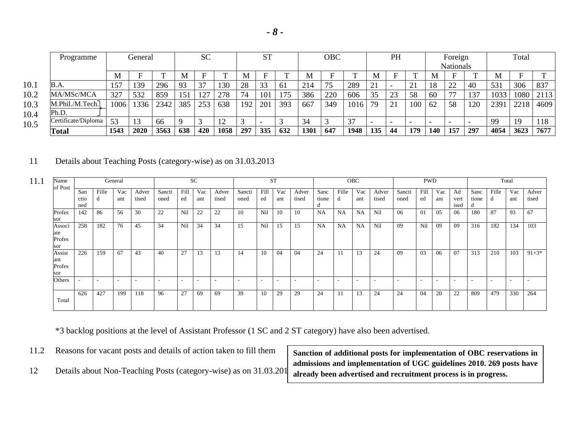|      | Programme           |      | General |      | <b>SC</b> |     | <b>ST</b> |     | <b>OBC</b> |     | PH   |     | Foreign |     |    | Total                    |     |     |     |      |      |      |
|------|---------------------|------|---------|------|-----------|-----|-----------|-----|------------|-----|------|-----|---------|-----|----|--------------------------|-----|-----|-----|------|------|------|
|      |                     |      |         |      |           |     |           |     |            |     |      |     |         |     |    | <b>Nationals</b>         |     |     |     |      |      |      |
|      |                     | M    | F       |      | M         |     |           | M   |            |     | Μ    |     | ᠇᠇      | М   |    |                          | М   |     |     | M    |      |      |
| 10.1 | B.A.                | 157  | 139     | 296  | 93        | 37  | 130       | 28  | 33         | -61 | 214  |     | 289     | 21  |    | ົາ 1<br>$\overline{2}$   | 18  | 22  | 40  | 531  | 306  | 837  |
| 10.2 | MA/MSc/MCA          | 327  | 532     | 859  | 151       | 127 | 278       | 74  | 101        | 175 | 386  | 220 | 606     | 35  | 23 | 58                       | 60  | 77  | 137 | 1033 | 1080 | 2113 |
| 10.3 | M.Phil./M.Tech.     | 1006 | 1336    | 2342 | 385       | 253 | 638       | 192 | 201        | 393 | 667  | 349 | 1016    | 79  | 21 | 100                      | 62  | 58  | 120 | 2391 | 2218 | 4609 |
| 10.4 | Ph.D.               |      |         |      |           |     |           |     |            |     |      |     |         |     |    |                          |     |     |     |      |      |      |
| 10.5 | Certificate/Diploma | 53   | 13      | 66   |           |     | ⊥ ∠       |     |            |     | 34   |     | 37      |     |    | $\overline{\phantom{0}}$ |     |     |     | 99   | 19   | 118  |
|      | Total               | 1543 | 2020    | 3563 | 638       | 420 | 1058      | 297 | 335        | 632 | 1301 | 647 | 1948    | 135 | 44 | 179                      | 140 | 157 | 297 | 4054 | 3623 | 7677 |

## 11 Details about Teaching Posts (category-wise) as on 31.03.2013

| 11.1<br>Name<br>of Post        |             |            | General                  |                |                          |                          | <b>SC</b>                |                          |                |            | <b>ST</b>                |                          |               |            | OBC                      |                          |                | <b>PWD</b>     |            |            |               |                          | Total                    |                |
|--------------------------------|-------------|------------|--------------------------|----------------|--------------------------|--------------------------|--------------------------|--------------------------|----------------|------------|--------------------------|--------------------------|---------------|------------|--------------------------|--------------------------|----------------|----------------|------------|------------|---------------|--------------------------|--------------------------|----------------|
|                                | San<br>ctio | Fille<br>a | Vac<br>ant               | Adver<br>tised | Sancti<br>oned           | Fill<br>ed               | Vac<br>ant               | Adver<br>tised           | Sancti<br>oned | Fill<br>ed | Vac<br>ant               | Adver<br>tised           | Sanc<br>tione | Fille<br>u | Vac<br>ant               | Adver<br>tised           | Sancti<br>oned | Fill<br>ed     | Vac<br>ant | Ad<br>vert | Sanc<br>tione | Fille<br>a               | Vac<br>ant               | Adver<br>tised |
| Profes<br>sor                  | ned<br>142  | 86         | 56                       | 30             | 22                       | Nil                      | 22                       | 22                       | 10             | Nil        | 10                       | 10                       | <b>NA</b>     | NA         | NA                       | Nil                      | 06             | 0 <sub>1</sub> | 05         | ised<br>06 | 180           | 87                       | 93                       | 67             |
| Associ<br>ate<br>Profes<br>sor | 258         | 182        | 76                       | 45             | 34                       | Nil                      | 34                       | 34                       | 15             | Nil        | 15                       | 15                       | <b>NA</b>     | <b>NA</b>  | <b>NA</b>                | Nil                      | 09             | Nil            | 09         | 09         | 316           | 182                      | 134                      | 103            |
| Assist<br>ant<br>Profes<br>sor | 226         | 159        | 67                       | 43             | 40                       | 27                       | 13                       | 13                       | 14             | 10         | 04                       | 04                       | 24            |            | 13                       | 24                       | 09             | 03             | 06         | 07         | 313           | 210                      | 103                      | $91+3*$        |
| Others                         |             |            | $\overline{\phantom{a}}$ | -              | $\overline{\phantom{a}}$ | $\overline{\phantom{0}}$ | $\overline{\phantom{a}}$ | $\overline{\phantom{a}}$ |                |            | $\overline{\phantom{a}}$ | $\overline{\phantom{a}}$ | $\sim$        |            | $\overline{\phantom{a}}$ | $\overline{\phantom{a}}$ |                |                |            |            |               | $\overline{\phantom{a}}$ | $\overline{\phantom{a}}$ | ۰              |
| Total                          | 626         | 427        | 199                      | 118            | 96                       | 27                       | 69                       | 69                       | 39             | 10         | 29                       | 29                       | 24            |            | 13                       | 24                       | 24             | 04             | 20         | 22         | 809           | 479                      | 330                      | 264            |

\*3 backlog positions at the level of Assistant Professor (1 SC and 2 ST category) have also been advertised.

|  | 11.2 Reasons for vacant posts and details of action taken to fill them |  |  |  |  |  |
|--|------------------------------------------------------------------------|--|--|--|--|--|
|--|------------------------------------------------------------------------|--|--|--|--|--|

12 Details about Non-Teaching Posts (category-wise) as on 31.03.2013

**Sanction of additional posts for implementation of OBC reservations in admissions and implementation of UGC guidelines 2010. 269 posts have already been advertised and recruitment process is in progress.**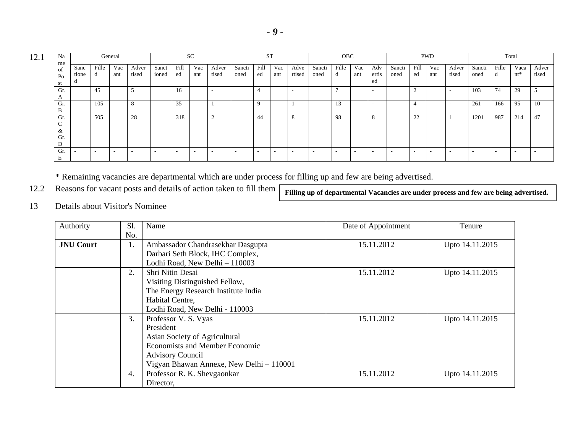12.1

| Na<br>me                            |                    |            | General    |                |                |            | <b>SC</b>  |                |                | <b>ST</b>  |            |                |                | <b>OBC</b> |            |                          |                |            | <b>PWD</b>               |                          |                |                          | Total          |                |
|-------------------------------------|--------------------|------------|------------|----------------|----------------|------------|------------|----------------|----------------|------------|------------|----------------|----------------|------------|------------|--------------------------|----------------|------------|--------------------------|--------------------------|----------------|--------------------------|----------------|----------------|
| of<br>P <sub>O</sub><br>st          | Sanc<br>tione<br>u | Fille<br>d | Vac<br>ant | Adver<br>tised | Sanct<br>ioned | Fill<br>ed | Vac<br>ant | Adver<br>tised | Sancti<br>oned | Fill<br>ed | Vac<br>ant | Adve<br>rtised | Sancti<br>oned | Fille<br>α | Vac<br>ant | Adv<br>ertis<br>ed       | Sancti<br>oned | Fill<br>ed | Vac<br>ant               | Adver<br>tised           | Sancti<br>oned | Fille<br>d               | Vaca<br>$nt^*$ | Adver<br>tised |
| Gr.<br>$\mathbf{A}$                 |                    | 45         |            |                |                | 16         |            |                |                |            |            |                |                |            |            | $\overline{\phantom{a}}$ |                | ∸          |                          | $\overline{\phantom{a}}$ | 103            | 74                       | 29             |                |
| Gr.<br>B                            |                    | 105        |            | 8              |                | 35         |            |                |                |            |            |                |                | 13         |            | $\overline{\phantom{a}}$ |                |            |                          | -                        | 261            | 166                      | 95             | 10             |
| Gr.<br>$\sim$<br>◡<br>&<br>Gr.<br>D |                    | 505        |            | 28             |                | 318        |            | $\sim$<br>∽    |                | 44         |            | 8              |                | 98         |            | 8                        |                | 22         |                          |                          | 1201           | 987                      | 214            | 47             |
| Gr.<br>Е                            |                    |            |            |                |                | -          |            |                |                | $\sim$     |            |                |                |            | -          |                          |                |            | $\overline{\phantom{a}}$ |                          |                | $\overline{\phantom{a}}$ |                |                |

\* Remaining vacancies are departmental which are under process for filling up and few are being advertised.

|  | 12.2 Reasons for vacant posts and details of action taken to fill them |  |  |  |  |  |
|--|------------------------------------------------------------------------|--|--|--|--|--|
|--|------------------------------------------------------------------------|--|--|--|--|--|

**Filling up of departmental Vacancies are under process and few are being advertised.** 

13 Details about Visitor's Nominee

| Authority        | S1. | Name                                     | Date of Appointment | Tenure          |
|------------------|-----|------------------------------------------|---------------------|-----------------|
|                  | No. |                                          |                     |                 |
| <b>JNU Court</b> | 1.  | Ambassador Chandrasekhar Dasgupta        | 15.11.2012          | Upto 14.11.2015 |
|                  |     | Darbari Seth Block, IHC Complex,         |                     |                 |
|                  |     | Lodhi Road, New Delhi - 110003           |                     |                 |
|                  | 2.  | Shri Nitin Desai                         | 15.11.2012          | Upto 14.11.2015 |
|                  |     | Visiting Distinguished Fellow,           |                     |                 |
|                  |     | The Energy Research Institute India      |                     |                 |
|                  |     | Habital Centre,                          |                     |                 |
|                  |     | Lodhi Road, New Delhi - 110003           |                     |                 |
|                  | 3.  | Professor V. S. Vyas                     | 15.11.2012          | Upto 14.11.2015 |
|                  |     | President                                |                     |                 |
|                  |     | Asian Society of Agricultural            |                     |                 |
|                  |     | <b>Economists and Member Economic</b>    |                     |                 |
|                  |     | <b>Advisory Council</b>                  |                     |                 |
|                  |     | Vigyan Bhawan Annexe, New Delhi - 110001 |                     |                 |
|                  | 4.  | Professor R. K. Shevgaonkar              | 15.11.2012          | Upto 14.11.2015 |
|                  |     | Director,                                |                     |                 |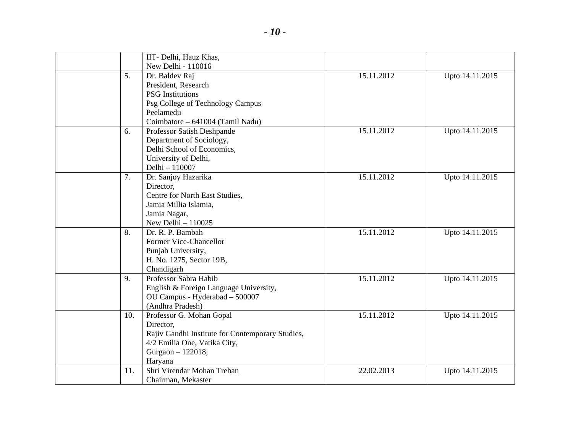|                | IIT- Delhi, Hauz Khas,                           |            |                 |
|----------------|--------------------------------------------------|------------|-----------------|
|                | New Delhi - 110016                               |            |                 |
| 5 <sub>1</sub> | Dr. Baldev Raj                                   | 15.11.2012 | Upto 14.11.2015 |
|                | President, Research                              |            |                 |
|                | <b>PSG</b> Institutions                          |            |                 |
|                | Psg College of Technology Campus                 |            |                 |
|                | Peelamedu                                        |            |                 |
|                | Coimbatore - 641004 (Tamil Nadu)                 |            |                 |
| 6.             | Professor Satish Deshpande                       | 15.11.2012 | Upto 14.11.2015 |
|                | Department of Sociology,                         |            |                 |
|                | Delhi School of Economics,                       |            |                 |
|                | University of Delhi,                             |            |                 |
|                | Delhi - 110007                                   |            |                 |
| 7.             | Dr. Sanjoy Hazarika                              | 15.11.2012 | Upto 14.11.2015 |
|                | Director,                                        |            |                 |
|                | Centre for North East Studies,                   |            |                 |
|                | Jamia Millia Islamia,                            |            |                 |
|                | Jamia Nagar,                                     |            |                 |
|                | New Delhi $-110025$                              |            |                 |
| 8.             | Dr. R. P. Bambah                                 | 15.11.2012 | Upto 14.11.2015 |
|                | Former Vice-Chancellor                           |            |                 |
|                | Punjab University,                               |            |                 |
|                | H. No. 1275, Sector 19B,                         |            |                 |
|                | Chandigarh                                       |            |                 |
| 9.             | Professor Sabra Habib                            | 15.11.2012 | Upto 14.11.2015 |
|                | English & Foreign Language University,           |            |                 |
|                | OU Campus - Hyderabad - 500007                   |            |                 |
|                | (Andhra Pradesh)                                 |            |                 |
| 10.            | Professor G. Mohan Gopal                         | 15.11.2012 | Upto 14.11.2015 |
|                | Director,                                        |            |                 |
|                | Rajiv Gandhi Institute for Contemporary Studies, |            |                 |
|                | 4/2 Emilia One, Vatika City,                     |            |                 |
|                | Gurgaon - 122018,                                |            |                 |
|                | Haryana                                          |            |                 |
| 11.            | Shri Virendar Mohan Trehan                       | 22.02.2013 | Upto 14.11.2015 |
|                | Chairman, Mekaster                               |            |                 |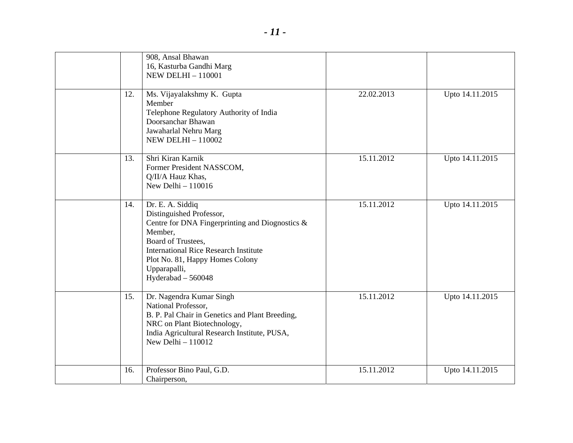|     | 908, Ansal Bhawan<br>16, Kasturba Gandhi Marg<br><b>NEW DELHI - 110001</b>                                                                                                                                                                                    |            |                 |
|-----|---------------------------------------------------------------------------------------------------------------------------------------------------------------------------------------------------------------------------------------------------------------|------------|-----------------|
| 12. | Ms. Vijayalakshmy K. Gupta<br>Member<br>Telephone Regulatory Authority of India<br>Doorsanchar Bhawan<br>Jawaharlal Nehru Marg<br><b>NEW DELHI - 110002</b>                                                                                                   | 22.02.2013 | Upto 14.11.2015 |
| 13. | Shri Kiran Karnik<br>Former President NASSCOM,<br>Q/II/A Hauz Khas,<br>New Delhi $-110016$                                                                                                                                                                    | 15.11.2012 | Upto 14.11.2015 |
| 14. | Dr. E. A. Siddiq<br>Distinguished Professor,<br>Centre for DNA Fingerprinting and Diognostics $\&$<br>Member,<br>Board of Trustees,<br><b>International Rice Research Institute</b><br>Plot No. 81, Happy Homes Colony<br>Upparapalli,<br>Hyderabad $-560048$ | 15.11.2012 | Upto 14.11.2015 |
| 15. | Dr. Nagendra Kumar Singh<br>National Professor,<br>B. P. Pal Chair in Genetics and Plant Breeding,<br>NRC on Plant Biotechnology,<br>India Agricultural Research Institute, PUSA,<br>New Delhi $-110012$                                                      | 15.11.2012 | Upto 14.11.2015 |
| 16. | Professor Bino Paul, G.D.<br>Chairperson,                                                                                                                                                                                                                     | 15.11.2012 | Upto 14.11.2015 |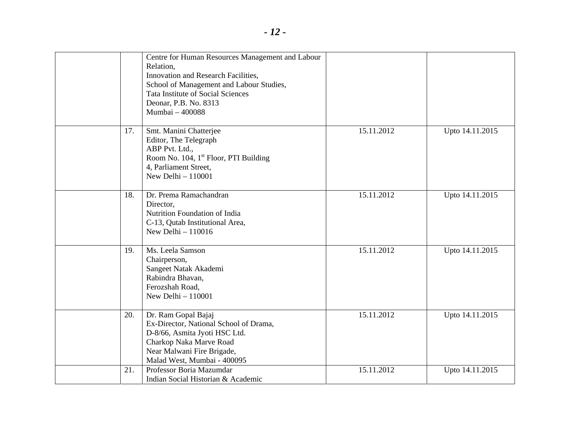|     | Centre for Human Resources Management and Labour<br>Relation,<br>Innovation and Research Facilities,<br>School of Management and Labour Studies,<br><b>Tata Institute of Social Sciences</b><br>Deonar, P.B. No. 8313<br>Mumbai - 400088 |            |                 |
|-----|------------------------------------------------------------------------------------------------------------------------------------------------------------------------------------------------------------------------------------------|------------|-----------------|
| 17. | Smt. Manini Chatterjee<br>Editor, The Telegraph<br>ABP Pvt. Ltd.,<br>Room No. 104, 1 <sup>st</sup> Floor, PTI Building<br>4, Parliament Street,<br>New Delhi $-110001$                                                                   | 15.11.2012 | Upto 14.11.2015 |
| 18. | Dr. Prema Ramachandran<br>Director,<br>Nutrition Foundation of India<br>C-13, Qutab Institutional Area,<br>New Delhi $-110016$                                                                                                           | 15.11.2012 | Upto 14.11.2015 |
| 19. | Ms. Leela Samson<br>Chairperson,<br>Sangeet Natak Akademi<br>Rabindra Bhavan,<br>Ferozshah Road,<br>New Delhi - 110001                                                                                                                   | 15.11.2012 | Upto 14.11.2015 |
| 20. | Dr. Ram Gopal Bajaj<br>Ex-Director, National School of Drama,<br>D-8/66, Asmita Jyoti HSC Ltd.<br>Charkop Naka Marve Road<br>Near Malwani Fire Brigade,<br>Malad West, Mumbai - 400095                                                   | 15.11.2012 | Upto 14.11.2015 |
| 21. | Professor Boria Mazumdar<br>Indian Social Historian & Academic                                                                                                                                                                           | 15.11.2012 | Upto 14.11.2015 |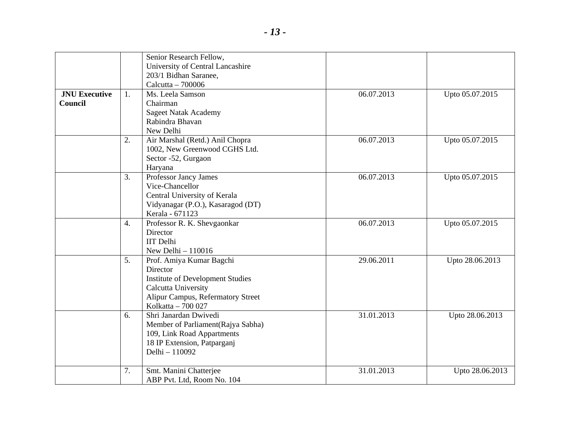|                      |                  | Senior Research Fellow,                 |            |                 |
|----------------------|------------------|-----------------------------------------|------------|-----------------|
|                      |                  | University of Central Lancashire        |            |                 |
|                      |                  | 203/1 Bidhan Saranee,                   |            |                 |
|                      |                  | Calcutta - 700006                       |            |                 |
| <b>JNU Executive</b> | 1.               | Ms. Leela Samson                        | 06.07.2013 | Upto 05.07.2015 |
| <b>Council</b>       |                  | Chairman                                |            |                 |
|                      |                  | <b>Sageet Natak Academy</b>             |            |                 |
|                      |                  | Rabindra Bhavan                         |            |                 |
|                      |                  | New Delhi                               |            |                 |
|                      | 2.               | Air Marshal (Retd.) Anil Chopra         | 06.07.2013 | Upto 05.07.2015 |
|                      |                  | 1002, New Greenwood CGHS Ltd.           |            |                 |
|                      |                  | Sector -52, Gurgaon                     |            |                 |
|                      |                  | Haryana                                 |            |                 |
|                      | 3.               | Professor Jancy James                   | 06.07.2013 | Upto 05.07.2015 |
|                      |                  | Vice-Chancellor                         |            |                 |
|                      |                  | Central University of Kerala            |            |                 |
|                      |                  | Vidyanagar (P.O.), Kasaragod (DT)       |            |                 |
|                      |                  | Kerala - 671123                         |            |                 |
|                      | $\overline{4}$ . | Professor R. K. Shevgaonkar             | 06.07.2013 | Upto 05.07.2015 |
|                      |                  | Director                                |            |                 |
|                      |                  | <b>IIT</b> Delhi                        |            |                 |
|                      |                  | New Delhi - 110016                      |            |                 |
|                      | 5.               | Prof. Amiya Kumar Bagchi                | 29.06.2011 | Upto 28.06.2013 |
|                      |                  | <b>Director</b>                         |            |                 |
|                      |                  | <b>Institute of Development Studies</b> |            |                 |
|                      |                  | Calcutta University                     |            |                 |
|                      |                  | Alipur Campus, Refermatory Street       |            |                 |
|                      |                  | Kolkatta - 700 027                      |            |                 |
|                      | 6.               | Shri Janardan Dwivedi                   | 31.01.2013 | Upto 28.06.2013 |
|                      |                  | Member of Parliament (Rajya Sabha)      |            |                 |
|                      |                  | 109, Link Road Appartments              |            |                 |
|                      |                  | 18 IP Extension, Patparganj             |            |                 |
|                      |                  | Delhi - 110092                          |            |                 |
|                      |                  |                                         |            |                 |
|                      | 7.               | Smt. Manini Chatterjee                  | 31.01.2013 | Upto 28.06.2013 |
|                      |                  | ABP Pvt. Ltd, Room No. 104              |            |                 |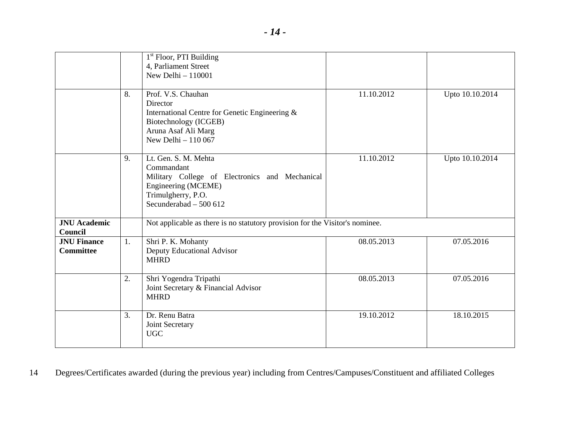|                                        |    | 1 <sup>st</sup> Floor, PTI Building<br>4, Parliament Street<br>New Delhi $-110001$                                                                          |            |                 |
|----------------------------------------|----|-------------------------------------------------------------------------------------------------------------------------------------------------------------|------------|-----------------|
|                                        | 8. | Prof. V.S. Chauhan<br>Director<br>International Centre for Genetic Engineering &<br>Biotechnology (ICGEB)<br>Aruna Asaf Ali Marg<br>New Delhi $-110067$     | 11.10.2012 | Upto 10.10.2014 |
|                                        | 9. | Lt. Gen. S. M. Mehta<br>Commandant<br>Military College of Electronics and Mechanical<br>Engineering (MCEME)<br>Trimulgherry, P.O.<br>Secunderabad - 500 612 | 11.10.2012 | Upto 10.10.2014 |
| <b>JNU</b> Academic<br>Council         |    | Not applicable as there is no statutory provision for the Visitor's nominee.                                                                                |            |                 |
| <b>JNU Finance</b><br><b>Committee</b> | 1. | Shri P. K. Mohanty<br>Deputy Educational Advisor<br><b>MHRD</b>                                                                                             | 08.05.2013 | 07.05.2016      |
|                                        | 2. | Shri Yogendra Tripathi<br>Joint Secretary & Financial Advisor<br><b>MHRD</b>                                                                                | 08.05.2013 | 07.05.2016      |
|                                        | 3. | Dr. Renu Batra<br>Joint Secretary<br><b>UGC</b>                                                                                                             | 19.10.2012 | 18.10.2015      |

14 Degrees/Certificates awarded (during the previous year) including from Centres/Campuses/Constituent and affiliated Colleges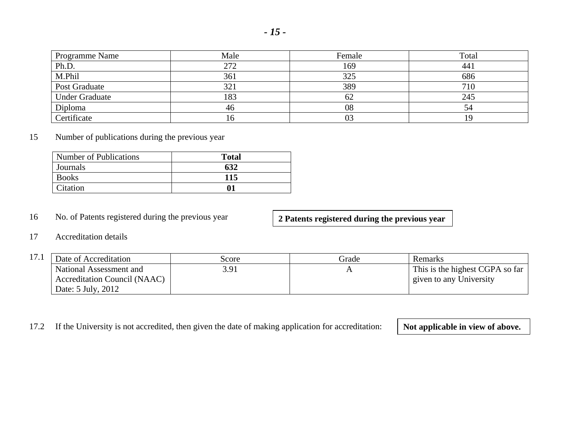| --<br>۰. |  |
|----------|--|
|----------|--|

| Programme Name        | Male | Female | Total |
|-----------------------|------|--------|-------|
| Ph.D.                 | 272  | 169    | 441   |
| M.Phil                | 361  | 325    | 686   |
| Post Graduate         | 321  | 389    | 710   |
| <b>Under Graduate</b> | 183  | 62     | 245   |
| Diploma               | 46   | 08     | 54    |
| Certificate           | 10   | 03     |       |

# 15 Number of publications during the previous year

| Number of Publications | <b>Total</b> |
|------------------------|--------------|
| Journals               | 632          |
| <b>Books</b>           | 115          |
| Citation               |              |

# 16 No. of Patents registered during the previous year

**2 Patents registered during the previous year**

### 17 Accreditation details

| 17.1<br>1/1 | Date of Accreditation               | Score | Grade | Remarks                         |
|-------------|-------------------------------------|-------|-------|---------------------------------|
|             | National Assessment and             | 3.91  |       | This is the highest CGPA so far |
|             | <b>Accreditation Council (NAAC)</b> |       |       | given to any University         |
|             | Date: 5 July, 2012                  |       |       |                                 |

17.2 If the University is not accredited, then given the date of making application for accreditation: **Not applicable in view of above.**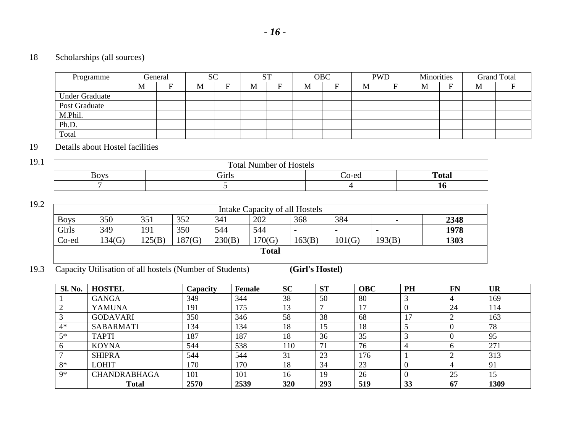# 18 Scholarships (all sources)

| Programme             |   | General | <b>SC</b> |   |   |   | OBC |   | <b>PWD</b> | Minorities |   | <b>Grand Total</b> |
|-----------------------|---|---------|-----------|---|---|---|-----|---|------------|------------|---|--------------------|
|                       | M | F       | M         | - | M | M |     | M |            | M          | M |                    |
| <b>Under Graduate</b> |   |         |           |   |   |   |     |   |            |            |   |                    |
| Post Graduate         |   |         |           |   |   |   |     |   |            |            |   |                    |
| M.Phil.               |   |         |           |   |   |   |     |   |            |            |   |                    |
| Ph.D.                 |   |         |           |   |   |   |     |   |            |            |   |                    |
| Total                 |   |         |           |   |   |   |     |   |            |            |   |                    |

## 19 Details about Hostel facilities

| 19.1 |                       | $\alpha -$<br>Total Number of<br><b>Hostels</b> |       |              |
|------|-----------------------|-------------------------------------------------|-------|--------------|
|      | ∍ הזר 4<br>" <i>⊔</i> | Girls                                           | ∠o-ed | <b>Total</b> |
|      |                       |                                                 |       | πu           |

19.2

| ∠ |                                                                                               | Intake Capacity of all Hostels |     |     |     |              |                          |                          |                          |      |
|---|-----------------------------------------------------------------------------------------------|--------------------------------|-----|-----|-----|--------------|--------------------------|--------------------------|--------------------------|------|
|   | <b>Boys</b>                                                                                   | 350                            | 351 | 352 | 341 | 202          | 368                      | 384                      | $\overline{\phantom{0}}$ | 2348 |
|   | Girls                                                                                         | 349                            | 191 | 350 | 544 | 544          | $\overline{\phantom{0}}$ | $\overline{\phantom{0}}$ | $\overline{\phantom{0}}$ | 1978 |
|   | Co-ed<br>187(G)<br>1303<br>230(B)<br>134(G)<br>170(G)<br>125(B)<br>163(B)<br>101(G)<br>193(B) |                                |     |     |     |              |                          |                          |                          |      |
|   |                                                                                               |                                |     |     |     | <b>Total</b> |                          |                          |                          |      |
|   |                                                                                               |                                |     |     |     |              |                          |                          |                          |      |

19.3 Capacity Utilisation of all hostels (Number of Students) **(Girl's Hostel)**

| <b>Sl. No.</b> | <b>HOSTEL</b>       | Capacity | Female | <b>SC</b> | <b>ST</b> | <b>OBC</b> | PH             | <b>FN</b>      | <b>UR</b>       |
|----------------|---------------------|----------|--------|-----------|-----------|------------|----------------|----------------|-----------------|
|                | <b>GANGA</b>        | 349      | 344    | 38        | 50        | 80         |                | 4              | 169             |
|                | <b>YAMUNA</b>       | 191      | 175    | 13        |           | 17         |                | 24             | 114             |
|                | <b>GODAVARI</b>     | 350      | 346    | 58        | 38        | 68         | 1 <sub>7</sub> | $\bigcap$<br>∠ | 163             |
| $4*$           | <b>SABARMATI</b>    | 134      | 134    | 18        | 15        | 18         |                | <b>U</b>       | 78              |
| $5*$           | <b>TAPTI</b>        | 187      | 187    | 18        | 36        | 35         |                | <b>U</b>       | 95              |
|                | <b>KOYNA</b>        | 544      | 538    | 110       | 71        | 76         |                |                | 27 <sub>1</sub> |
|                | <b>SHIPRA</b>       | 544      | 544    | 31        | 23        | 176        |                | ◠              | 313             |
| $8*$           | <b>LOHIT</b>        | 170      | 170    | 18        | 34        | 23         |                | 4              | 91              |
| $Q*$           | <b>CHANDRABHAGA</b> | 101      | 101    | 16        | 19        | 26         |                | 25             | יים ו           |
|                | <b>Total</b>        | 2570     | 2539   | 320       | 293       | 519        | 33             | 67             | 1309            |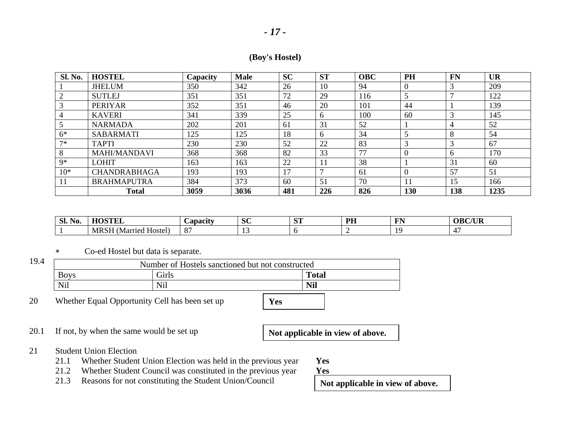## **(Boy's Hostel)**

| <b>Sl. No.</b> | <b>HOSTEL</b>       | Capacity | <b>Male</b> | <b>SC</b> | <b>ST</b>      | <b>OBC</b> | PH  | <b>FN</b>    | <b>UR</b> |
|----------------|---------------------|----------|-------------|-----------|----------------|------------|-----|--------------|-----------|
|                | <b>JHELUM</b>       | 350      | 342         | 26        | 10             | 94         |     | 3            | 209       |
|                | <b>SUTLEJ</b>       | 351      | 351         | 72        | 29             | 116        |     |              | 122       |
|                | <b>PERIYAR</b>      | 352      | 351         | 46        | 20             | 101        | 44  |              | 139       |
|                | <b>KAVERI</b>       | 341      | 339         | 25        | 6              | 100        | 60  | 3            | 145       |
|                | <b>NARMADA</b>      | 202      | 201         | 61        | 31             | 52         |     | 4            | 52        |
| $6*$           | <b>SABARMATI</b>    | 125      | 125         | 18        | 6              | 34         |     | 8            | 54        |
| $7*$           | <b>TAPTI</b>        | 230      | 230         | 52        | 22             | 83         |     | 3            | 67        |
| 8              | <b>MAHI/MANDAVI</b> | 368      | 368         | 82        | 33             | 77         |     | <sub>0</sub> | 170       |
| $Q*$           | LOHIT               | 163      | 163         | 22        | 11             | 38         |     | 31           | 60        |
| $10*$          | <b>CHANDRABHAGA</b> | 193      | 193         | 17        | $\overline{ }$ | 61         |     | 57           | 51        |
|                | <b>BRAHMAPUTRA</b>  | 384      | 373         | 60        | 51             | 70         |     | 15           | 166       |
|                | <b>Total</b>        | 3059     | 3036        | 481       | 226            | 826        | 130 | 138          | 1235      |

| $\bullet$<br>C1<br>No.<br>DI. | $\lambda$ $\alpha$ $\lambda$ | Capacity                          | $\alpha$<br>DU.                 | $\alpha$<br>ັບ⊾ | DU<br>. | ---<br>н<br>.  | $\Omega$ R $C$ /HR<br>$\overline{\mathbf{u}}$ |
|-------------------------------|------------------------------|-----------------------------------|---------------------------------|-----------------|---------|----------------|-----------------------------------------------|
|                               | МR<br>. Married<br>Hostel    | $\Omega$<br>⌒<br>$\mathbf \sigma$ | $\overline{\phantom{a}}$<br>. . |                 |         | 10<br><u>.</u> |                                               |

∗Co-ed Hostel but data is separate.

| 19.4 |             | Number of Hostels sanctioned but not constructed |              |
|------|-------------|--------------------------------------------------|--------------|
|      | <b>Boys</b> | <b>Girls</b>                                     | <b>Total</b> |
|      | Nil         | Nil                                              | <b>Nil</b>   |

20 Whether Equal Opportunity Cell has been set up **Yes** 

20.1 If not, by when the same would be set up **Not applicable in view of above.** 

## 21 Student Union Election

21.1 Whether Student Union Election was held in the previous year **Yes** 21.2 Whether Student Council was constituted in the previous year **Yes** 

Whether Student Council was constituted in the previous year

21.3 Reasons for not constituting the Student Union/Council **Not applicable in view of above.**